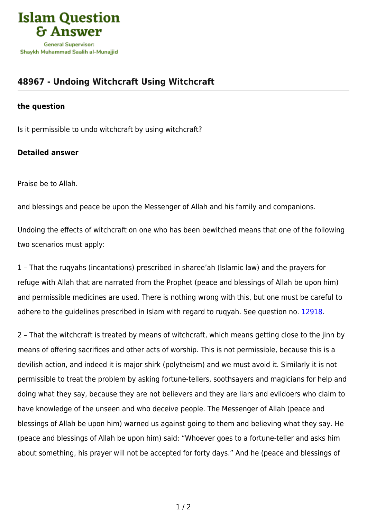

## **[48967 - Undoing Witchcraft Using Witchcraft](https://islamqa.com/en/answers/48967/undoing-witchcraft-using-witchcraft)**

## **the question**

Is it permissible to undo witchcraft by using witchcraft?

## **Detailed answer**

Praise be to Allah.

and blessings and peace be upon the Messenger of Allah and his family and companions.

Undoing the effects of witchcraft on one who has been bewitched means that one of the following two scenarios must apply:

1 – That the ruqyahs (incantations) prescribed in sharee'ah (Islamic law) and the prayers for refuge with Allah that are narrated from the Prophet (peace and blessings of Allah be upon him) and permissible medicines are used. There is nothing wrong with this, but one must be careful to adhere to the guidelines prescribed in Islam with regard to ruqyah. See question no. [12918](https://islamqa.com/en/answers/12918).

2 – That the witchcraft is treated by means of witchcraft, which means getting close to the jinn by means of offering sacrifices and other acts of worship. This is not permissible, because this is a devilish action, and indeed it is major shirk (polytheism) and we must avoid it. Similarly it is not permissible to treat the problem by asking fortune-tellers, soothsayers and magicians for help and doing what they say, because they are not believers and they are liars and evildoers who claim to have knowledge of the unseen and who deceive people. The Messenger of Allah (peace and blessings of Allah be upon him) warned us against going to them and believing what they say. He (peace and blessings of Allah be upon him) said: "Whoever goes to a fortune-teller and asks him about something, his prayer will not be accepted for forty days." And he (peace and blessings of